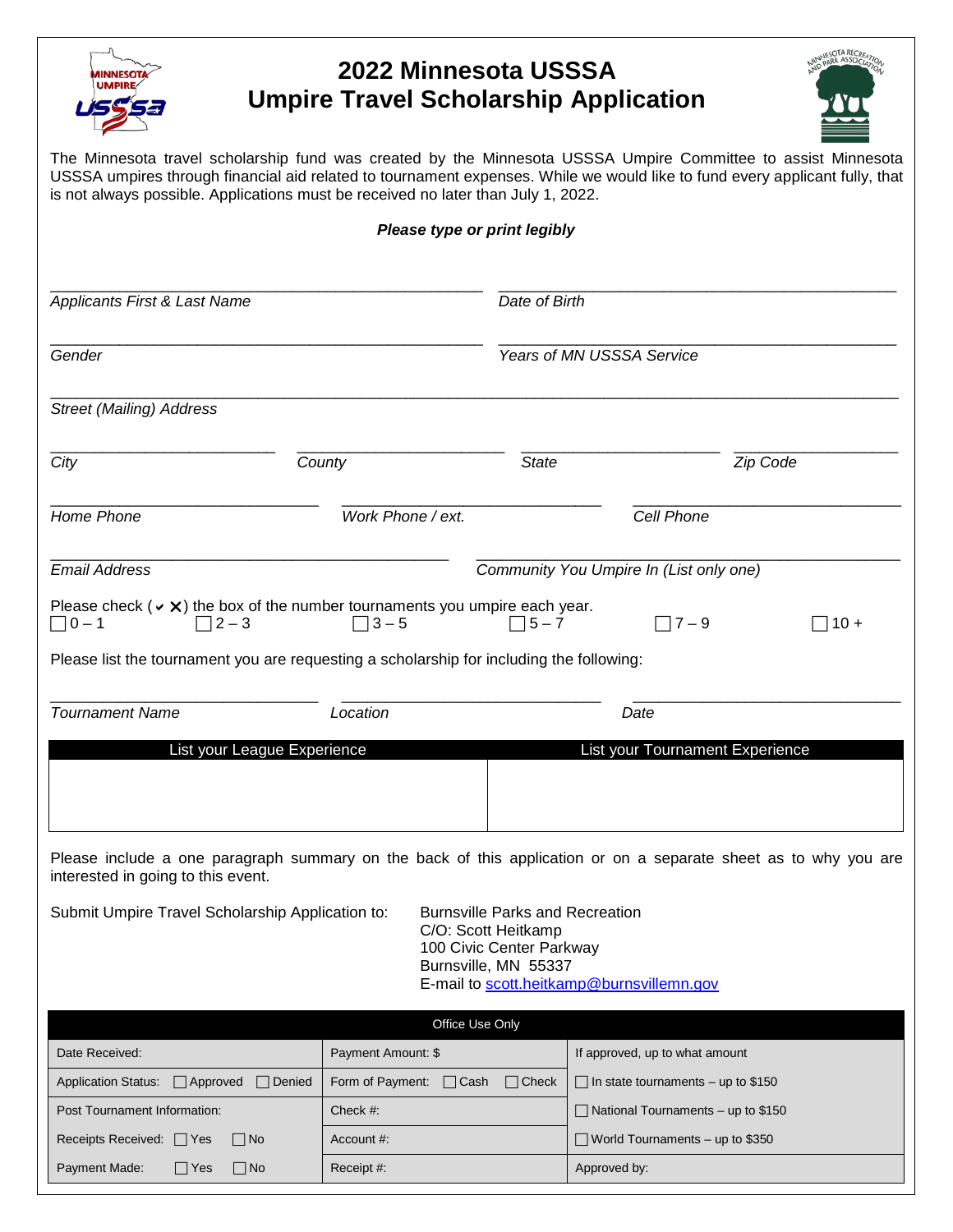

## **2022 Minnesota USSSA Umpire Travel Scholarship Application**



The Minnesota travel scholarship fund was created by the Minnesota USSSA Umpire Committee to assist Minnesota USSSA umpires through financial aid related to tournament expenses. While we would like to fund every applicant fully, that is not always possible. Applications must be received no later than July 1, 2022.

|                                                                                  |                                                                                                                 | Please type or print legibly                                                                                         |                                 |          |
|----------------------------------------------------------------------------------|-----------------------------------------------------------------------------------------------------------------|----------------------------------------------------------------------------------------------------------------------|---------------------------------|----------|
| Applicants First & Last Name                                                     |                                                                                                                 | Date of Birth                                                                                                        |                                 |          |
| Gender                                                                           |                                                                                                                 | Years of MN USSSA Service                                                                                            |                                 |          |
| <b>Street (Mailing) Address</b>                                                  |                                                                                                                 |                                                                                                                      |                                 |          |
| City                                                                             | County                                                                                                          | <b>State</b>                                                                                                         |                                 | Zip Code |
| Home Phone                                                                       | Work Phone / ext.                                                                                               |                                                                                                                      | Cell Phone                      |          |
| <b>Email Address</b>                                                             |                                                                                                                 | Community You Umpire In (List only one)                                                                              |                                 |          |
| $\Box$ 0 – 1<br>$2 - 3$                                                          | Please check ( $\vee$ X) the box of the number tournaments you umpire each year.<br>$\Box$ 3-5                  | $\sqrt{5-7}$                                                                                                         | $\Box$ 7 – 9                    | $10 +$   |
|                                                                                  | Please list the tournament you are requesting a scholarship for including the following:                        |                                                                                                                      |                                 |          |
| <b>Tournament Name</b>                                                           | Location                                                                                                        |                                                                                                                      | Date                            |          |
|                                                                                  | List your League Experience                                                                                     |                                                                                                                      | List your Tournament Experience |          |
| interested in going to this event.                                               | Please include a one paragraph summary on the back of this application or on a separate sheet as to why you are |                                                                                                                      |                                 |          |
| Submit Umpire Travel Scholarship Application to: Burnsville Parks and Recreation |                                                                                                                 | C/O: Scott Heitkamp<br>100 Civic Center Parkway<br>Burnsville, MN 55337<br>E-mail to scott.heitkamp@burnsvillemn.gov |                                 |          |
|                                                                                  |                                                                                                                 | Office Use Only                                                                                                      |                                 |          |
|                                                                                  |                                                                                                                 |                                                                                                                      |                                 |          |

| Office Use Only                                                |                                           |                                           |  |  |  |
|----------------------------------------------------------------|-------------------------------------------|-------------------------------------------|--|--|--|
| Date Received:                                                 | Payment Amount: \$                        | If approved, up to what amount            |  |  |  |
| $\Box$ Denied<br><b>Application Status:</b><br>$\Box$ Approved | Form of Payment: $\Box$ Cash $\Box$ Check | $\Box$ In state tournaments – up to \$150 |  |  |  |
| Post Tournament Information:                                   | Check $#$ :                               | $\Box$ National Tournaments – up to \$150 |  |  |  |
| Receipts Received: $\Box$ Yes $\Box$ No                        | Account #:                                | $\Box$ World Tournaments – up to \$350    |  |  |  |
| Payment Made:<br>$\Box$ Yes<br>$\Box$ No                       | Receipt #:                                | Approved by:                              |  |  |  |